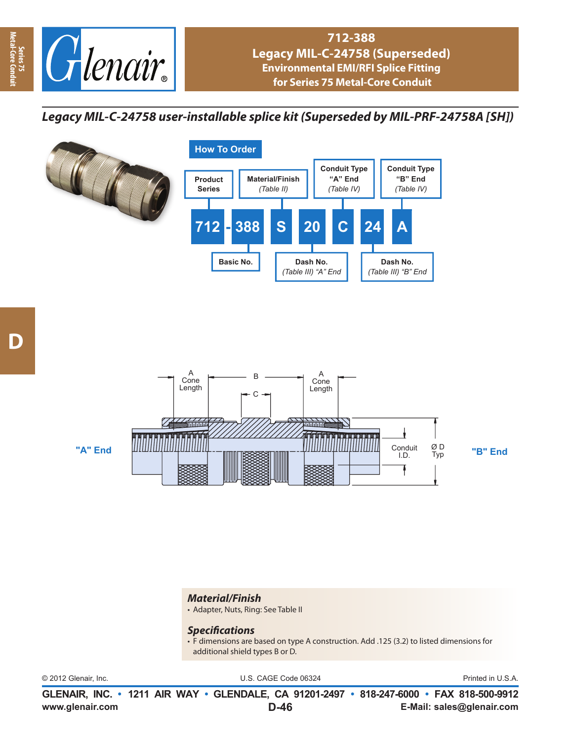

*Legacy MIL-C-24758 user-installable splice kit (Superseded by MIL-PRF-24758A [SH])*



**Series 75<br>Metal-Core Cor Metal-Core Conduit**



## *Material/Finish*

• Adapter, Nuts, Ring: See Table II

## *Specifi cations*

• F dimensions are based on type A construction. Add .125 (3.2) to listed dimensions for additional shield types B or D.

© 2012 Glenair, Inc. U.S. CAGE Code 06324 Printed in U.S.A.

**www.glenair.com E-Mail: sales@glenair.com GLENAIR, INC. • 1211 AIR WAY • GLENDALE, CA 91201-2497 • 818-247-6000 • FAX 818-500-9912 D-46**